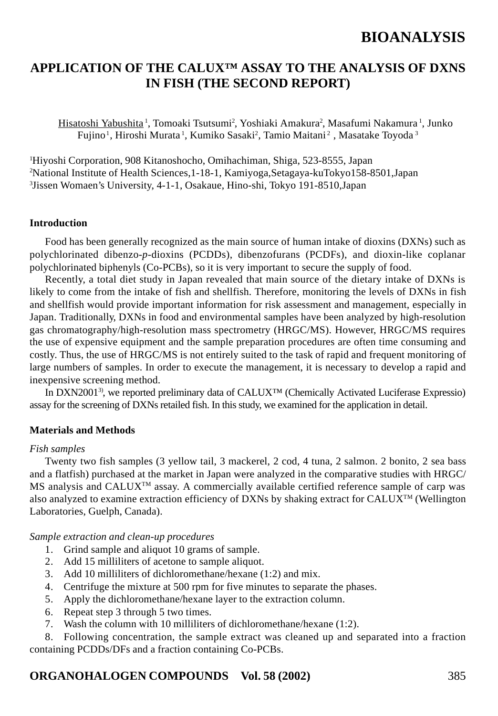## **APPLICATION OF THE CALUX™ ASSAY TO THE ANALYSIS OF DXNS IN FISH (THE SECOND REPORT)**

Hisatoshi Yabushita 1, Tomoaki Tsutsumi2 , Yoshiaki Amakura2 , Masafumi Nakamura 1, Junko Fujino<sup>1</sup>, Hiroshi Murata<sup>1</sup>, Kumiko Sasaki<sup>2</sup>, Tamio Maitani<sup>2</sup>, Masatake Toyoda<sup>3</sup>

1 Hiyoshi Corporation, 908 Kitanoshocho, Omihachiman, Shiga, 523-8555, Japan 2 National Institute of Health Sciences,1-18-1, Kamiyoga,Setagaya-kuTokyo158-8501,Japan 3 Jissen Womaen's University, 4-1-1, Osakaue, Hino-shi, Tokyo 191-8510,Japan

#### **Introduction**

Food has been generally recognized as the main source of human intake of dioxins (DXNs) such as polychlorinated dibenzo-*p*-dioxins (PCDDs), dibenzofurans (PCDFs), and dioxin-like coplanar polychlorinated biphenyls (Co-PCBs), so it is very important to secure the supply of food.

Recently, a total diet study in Japan revealed that main source of the dietary intake of DXNs is likely to come from the intake of fish and shellfish. Therefore, monitoring the levels of DXNs in fish and shellfish would provide important information for risk assessment and management, especially in Japan. Traditionally, DXNs in food and environmental samples have been analyzed by high-resolution gas chromatography/high-resolution mass spectrometry (HRGC/MS). However, HRGC/MS requires the use of expensive equipment and the sample preparation procedures are often time consuming and costly. Thus, the use of HRGC/MS is not entirely suited to the task of rapid and frequent monitoring of large numbers of samples. In order to execute the management, it is necessary to develop a rapid and inexpensive screening method.

In DXN20013), we reported preliminary data of CALUX™ (Chemically Activated Luciferase Expressio) assay for the screening of DXNs retailed fish. In this study, we examined for the application in detail.

#### **Materials and Methods**

#### *Fish samples*

Twenty two fish samples (3 yellow tail, 3 mackerel, 2 cod, 4 tuna, 2 salmon. 2 bonito, 2 sea bass and a flatfish) purchased at the market in Japan were analyzed in the comparative studies with HRGC/ MS analysis and CALUX<sup>TM</sup> assay. A commercially available certified reference sample of carp was also analyzed to examine extraction efficiency of DXNs by shaking extract for CALUX<sup>TM</sup> (Wellington Laboratories, Guelph, Canada).

*Sample extraction and clean-up procedures*

- 1. Grind sample and aliquot 10 grams of sample.
- 2. Add 15 milliliters of acetone to sample aliquot.
- 3. Add 10 milliliters of dichloromethane/hexane (1:2) and mix.
- 4. Centrifuge the mixture at 500 rpm for five minutes to separate the phases.
- 5. Apply the dichloromethane/hexane layer to the extraction column.
- 6. Repeat step 3 through 5 two times.
- 7. Wash the column with 10 milliliters of dichloromethane/hexane (1:2).

8. Following concentration, the sample extract was cleaned up and separated into a fraction containing PCDDs/DFs and a fraction containing Co-PCBs.

### **ORGANOHALOGEN COMPOUNDS Vol. 58 (2002)** 385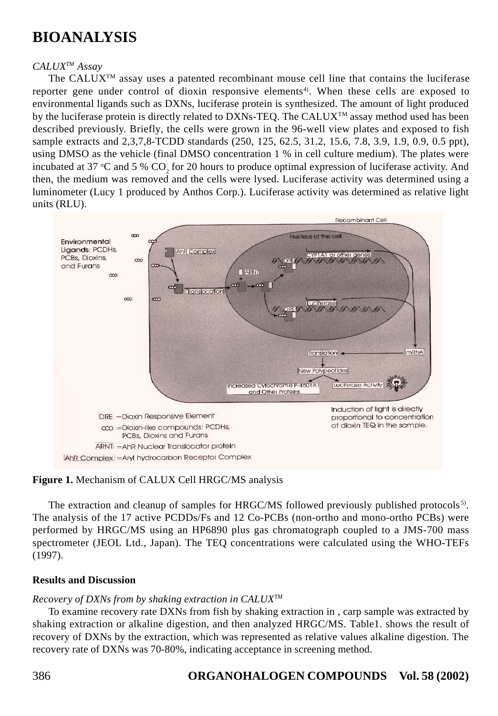### *CALUXTM Assay*

The  $CALUX^{TM}$  assay uses a patented recombinant mouse cell line that contains the luciferase reporter gene under control of dioxin responsive elements<sup>4)</sup>. When these cells are exposed to environmental ligands such as DXNs, luciferase protein is synthesized. The amount of light produced by the luciferase protein is directly related to DXNs-TEO. The CALUX<sup>TM</sup> assay method used has been described previously. Briefly, the cells were grown in the 96-well view plates and exposed to fish sample extracts and 2,3,7,8-TCDD standards (250, 125, 62.5, 31.2, 15.6, 7.8, 3.9, 1.9, 0.9, 0.5 ppt), using DMSO as the vehicle (final DMSO concentration 1 % in cell culture medium). The plates were incubated at 37 °C and 5 %  $CO_2$  for 20 hours to produce optimal expression of luciferase activity. And then, the medium was removed and the cells were lysed. Luciferase activity was determined using a luminometer (Lucy 1 produced by Anthos Corp.). Luciferase activity was determined as relative light units (RLU).



### **Figure 1.** Mechanism of CALUX Cell HRGC/MS analysis

The extraction and cleanup of samples for HRGC/MS followed previously published protocols<sup>5)</sup>. The analysis of the 17 active PCDDs/Fs and 12 Co-PCBs (non-ortho and mono-ortho PCBs) were performed by HRGC/MS using an HP6890 plus gas chromatograph coupled to a JMS-700 mass spectrometer (JEOL Ltd., Japan). The TEQ concentrations were calculated using the WHO-TEFs (1997).

#### **Results and Discussion**

### *Recovery of DXNs from by shaking extraction in CALUXTM*

To examine recovery rate DXNs from fish by shaking extraction in , carp sample was extracted by shaking extraction or alkaline digestion, and then analyzed HRGC/MS. Table1. shows the result of recovery of DXNs by the extraction, which was represented as relative values alkaline digestion. The recovery rate of DXNs was 70-80%, indicating acceptance in screening method.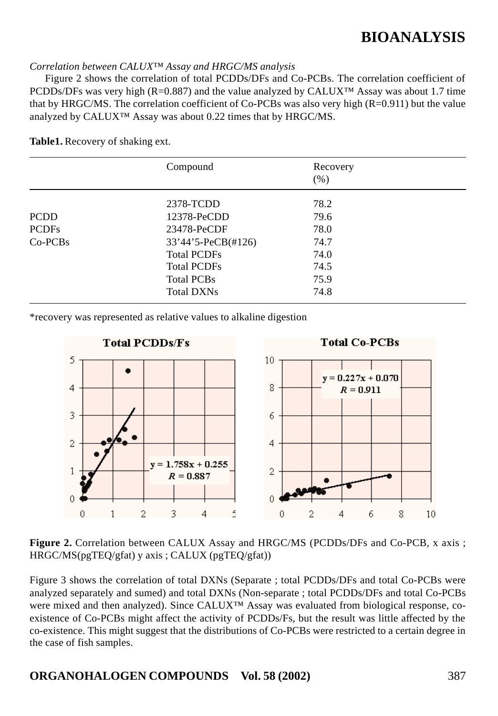#### *Correlation between CALUX™ Assay and HRGC/MS analysis*

Figure 2 shows the correlation of total PCDDs/DFs and Co-PCBs. The correlation coefficient of PCDDs/DFs was very high (R=0.887) and the value analyzed by CALUX<sup>™</sup> Assay was about 1.7 time that by HRGC/MS. The correlation coefficient of  $Co-PCBs$  was also very high  $(R=0.911)$  but the value analyzed by CALUX™ Assay was about 0.22 times that by HRGC/MS.

|               | Compound           | Recovery |  |
|---------------|--------------------|----------|--|
|               |                    | (% )     |  |
|               | 2378-TCDD          | 78.2     |  |
| <b>PCDD</b>   | 12378-PeCDD        | 79.6     |  |
| <b>PCDFs</b>  | 23478-PeCDF        | 78.0     |  |
| $Co$ - $PCBs$ | 33'44'5-PeCB(#126) | 74.7     |  |
|               | <b>Total PCDFs</b> | 74.0     |  |
|               | <b>Total PCDFs</b> | 74.5     |  |
|               | <b>Total PCBs</b>  | 75.9     |  |
|               | Total DXNs         | 74.8     |  |
|               |                    |          |  |

**Table1.** Recovery of shaking ext.

\*recovery was represented as relative values to alkaline digestion



**Total PCDDs/Fs** 

**Figure 2.** Correlation between CALUX Assay and HRGC/MS (PCDDs/DFs and Co-PCB, x axis; HRGC/MS(pgTEQ/gfat) y axis ; CALUX (pgTEQ/gfat))

Figure 3 shows the correlation of total DXNs (Separate ; total PCDDs/DFs and total Co-PCBs were analyzed separately and sumed) and total DXNs (Non-separate ; total PCDDs/DFs and total Co-PCBs were mixed and then analyzed). Since CALUX™ Assay was evaluated from biological response, coexistence of Co-PCBs might affect the activity of PCDDs/Fs, but the result was little affected by the co-existence. This might suggest that the distributions of Co-PCBs were restricted to a certain degree in the case of fish samples.

**ORGANOHALOGEN COMPOUNDS Vol. 58 (2002)** 387